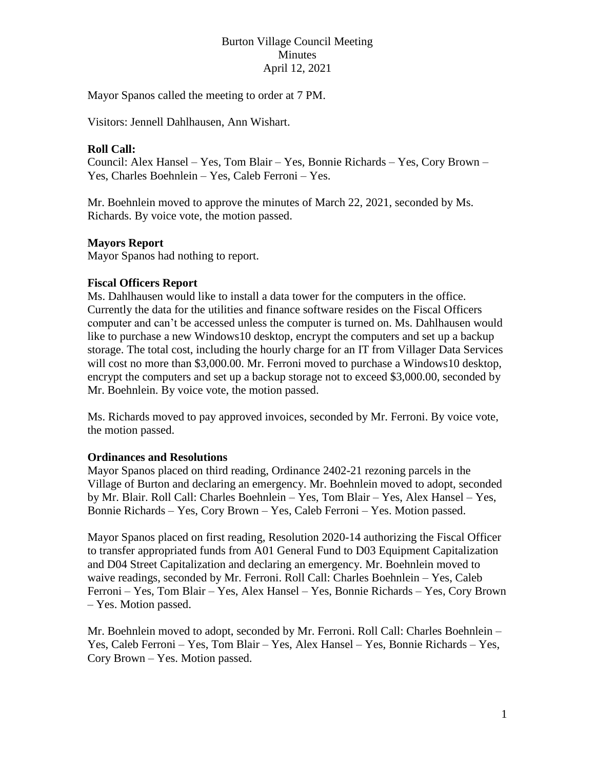# Burton Village Council Meeting Minutes April 12, 2021

Mayor Spanos called the meeting to order at 7 PM.

Visitors: Jennell Dahlhausen, Ann Wishart.

## **Roll Call:**

Council: Alex Hansel – Yes, Tom Blair – Yes, Bonnie Richards – Yes, Cory Brown – Yes, Charles Boehnlein – Yes, Caleb Ferroni – Yes.

Mr. Boehnlein moved to approve the minutes of March 22, 2021, seconded by Ms. Richards. By voice vote, the motion passed.

### **Mayors Report**

Mayor Spanos had nothing to report.

## **Fiscal Officers Report**

Ms. Dahlhausen would like to install a data tower for the computers in the office. Currently the data for the utilities and finance software resides on the Fiscal Officers computer and can't be accessed unless the computer is turned on. Ms. Dahlhausen would like to purchase a new Windows10 desktop, encrypt the computers and set up a backup storage. The total cost, including the hourly charge for an IT from Villager Data Services will cost no more than \$3,000.00. Mr. Ferroni moved to purchase a Windows10 desktop, encrypt the computers and set up a backup storage not to exceed \$3,000.00, seconded by Mr. Boehnlein. By voice vote, the motion passed.

Ms. Richards moved to pay approved invoices, seconded by Mr. Ferroni. By voice vote, the motion passed.

#### **Ordinances and Resolutions**

Mayor Spanos placed on third reading, Ordinance 2402-21 rezoning parcels in the Village of Burton and declaring an emergency. Mr. Boehnlein moved to adopt, seconded by Mr. Blair. Roll Call: Charles Boehnlein – Yes, Tom Blair – Yes, Alex Hansel – Yes, Bonnie Richards – Yes, Cory Brown – Yes, Caleb Ferroni – Yes. Motion passed.

Mayor Spanos placed on first reading, Resolution 2020-14 authorizing the Fiscal Officer to transfer appropriated funds from A01 General Fund to D03 Equipment Capitalization and D04 Street Capitalization and declaring an emergency. Mr. Boehnlein moved to waive readings, seconded by Mr. Ferroni. Roll Call: Charles Boehnlein – Yes, Caleb Ferroni – Yes, Tom Blair – Yes, Alex Hansel – Yes, Bonnie Richards – Yes, Cory Brown – Yes. Motion passed.

Mr. Boehnlein moved to adopt, seconded by Mr. Ferroni. Roll Call: Charles Boehnlein – Yes, Caleb Ferroni – Yes, Tom Blair – Yes, Alex Hansel – Yes, Bonnie Richards – Yes, Cory Brown – Yes. Motion passed.